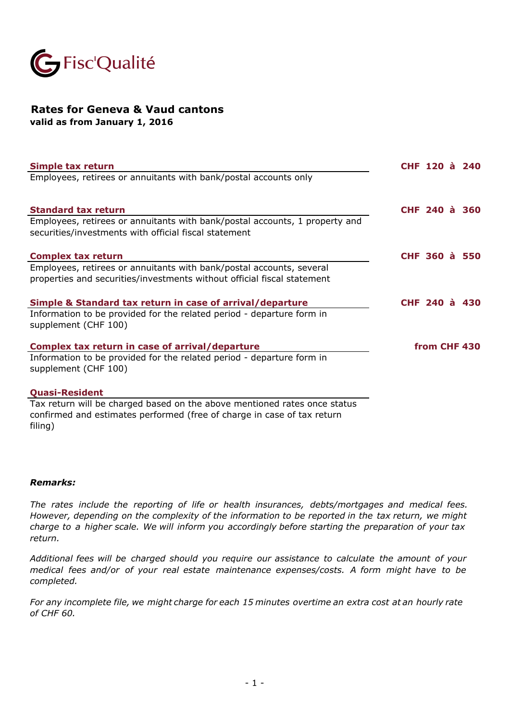

## **Rates for Geneva & Vaud cantons valid as from January 1, 2016**

**Simple tax return CHF 120 à 240** Employees, retirees or annuitants with bank/postal accounts only **Standard tax return CHF 240 à 360** Employees, retirees or annuitants with bank/postal accounts, 1 property and securities/investments with official fiscal statement **Complex tax return COMPLEX 1200 <b>a CHF** 360 **à** 550 Employees, retirees or annuitants with bank/postal accounts, several properties and securities/investments without official fiscal statement **Simple & Standard tax return in case of arrival/departure CHF 240 à 430** Information to be provided for the related period - departure form in supplement (CHF 100) **Complex tax return in case of arrival/departure** Information to be provided for the related period - departure form in supplement (CHF 100) **Quasi-Resident from CHF 430**

Tax return will be charged based on the above mentioned rates once status confirmed and estimates performed (free of charge in case of tax return filing)

## *Remarks:*

*The rates include the reporting of life or health insurances, debts/mortgages and medical fees. However, depending on the complexity of the information to be reported in the tax return, we might charge to a higher scale. We will inform you accordingly before starting the preparation of your tax return.*

*Additional fees will be charged should you require our assistance to calculate the amount of your medical fees and/or of your real estate maintenance expenses/costs. A form might have to be completed.* 

For any incomplete file, we might charge for each 15 minutes overtime an extra cost at an hourly rate *of CHF 60.*